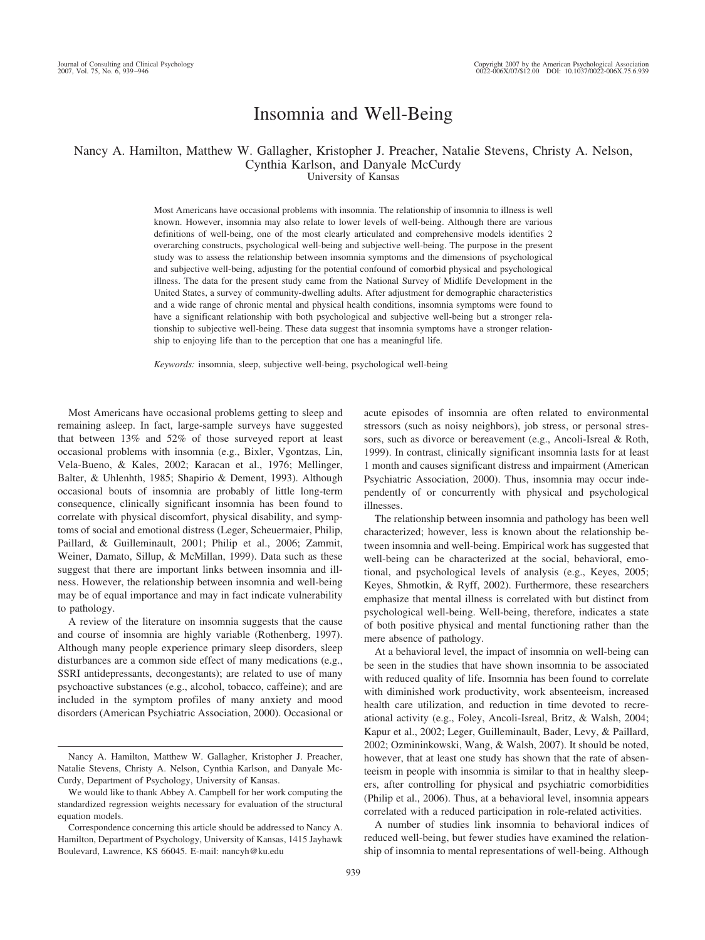# Insomnia and Well-Being

Nancy A. Hamilton, Matthew W. Gallagher, Kristopher J. Preacher, Natalie Stevens, Christy A. Nelson, Cynthia Karlson, and Danyale McCurdy

University of Kansas

Most Americans have occasional problems with insomnia. The relationship of insomnia to illness is well known. However, insomnia may also relate to lower levels of well-being. Although there are various definitions of well-being, one of the most clearly articulated and comprehensive models identifies 2 overarching constructs, psychological well-being and subjective well-being. The purpose in the present study was to assess the relationship between insomnia symptoms and the dimensions of psychological and subjective well-being, adjusting for the potential confound of comorbid physical and psychological illness. The data for the present study came from the National Survey of Midlife Development in the United States, a survey of community-dwelling adults. After adjustment for demographic characteristics and a wide range of chronic mental and physical health conditions, insomnia symptoms were found to have a significant relationship with both psychological and subjective well-being but a stronger relationship to subjective well-being. These data suggest that insomnia symptoms have a stronger relationship to enjoying life than to the perception that one has a meaningful life.

*Keywords:* insomnia, sleep, subjective well-being, psychological well-being

Most Americans have occasional problems getting to sleep and remaining asleep. In fact, large-sample surveys have suggested that between 13% and 52% of those surveyed report at least occasional problems with insomnia (e.g., Bixler, Vgontzas, Lin, Vela-Bueno, & Kales, 2002; Karacan et al., 1976; Mellinger, Balter, & Uhlenhth, 1985; Shapirio & Dement, 1993). Although occasional bouts of insomnia are probably of little long-term consequence, clinically significant insomnia has been found to correlate with physical discomfort, physical disability, and symptoms of social and emotional distress (Leger, Scheuermaier, Philip, Paillard, & Guilleminault, 2001; Philip et al., 2006; Zammit, Weiner, Damato, Sillup, & McMillan, 1999). Data such as these suggest that there are important links between insomnia and illness. However, the relationship between insomnia and well-being may be of equal importance and may in fact indicate vulnerability to pathology.

A review of the literature on insomnia suggests that the cause and course of insomnia are highly variable (Rothenberg, 1997). Although many people experience primary sleep disorders, sleep disturbances are a common side effect of many medications (e.g., SSRI antidepressants, decongestants); are related to use of many psychoactive substances (e.g., alcohol, tobacco, caffeine); and are included in the symptom profiles of many anxiety and mood disorders (American Psychiatric Association, 2000). Occasional or acute episodes of insomnia are often related to environmental stressors (such as noisy neighbors), job stress, or personal stressors, such as divorce or bereavement (e.g., Ancoli-Isreal & Roth, 1999). In contrast, clinically significant insomnia lasts for at least 1 month and causes significant distress and impairment (American Psychiatric Association, 2000). Thus, insomnia may occur independently of or concurrently with physical and psychological illnesses.

The relationship between insomnia and pathology has been well characterized; however, less is known about the relationship between insomnia and well-being. Empirical work has suggested that well-being can be characterized at the social, behavioral, emotional, and psychological levels of analysis (e.g., Keyes, 2005; Keyes, Shmotkin, & Ryff, 2002). Furthermore, these researchers emphasize that mental illness is correlated with but distinct from psychological well-being. Well-being, therefore, indicates a state of both positive physical and mental functioning rather than the mere absence of pathology.

At a behavioral level, the impact of insomnia on well-being can be seen in the studies that have shown insomnia to be associated with reduced quality of life. Insomnia has been found to correlate with diminished work productivity, work absenteeism, increased health care utilization, and reduction in time devoted to recreational activity (e.g., Foley, Ancoli-Isreal, Britz, & Walsh, 2004; Kapur et al., 2002; Leger, Guilleminault, Bader, Levy, & Paillard, 2002; Ozmininkowski, Wang, & Walsh, 2007). It should be noted, however, that at least one study has shown that the rate of absenteeism in people with insomnia is similar to that in healthy sleepers, after controlling for physical and psychiatric comorbidities (Philip et al., 2006). Thus, at a behavioral level, insomnia appears correlated with a reduced participation in role-related activities.

A number of studies link insomnia to behavioral indices of reduced well-being, but fewer studies have examined the relationship of insomnia to mental representations of well-being. Although

Nancy A. Hamilton, Matthew W. Gallagher, Kristopher J. Preacher, Natalie Stevens, Christy A. Nelson, Cynthia Karlson, and Danyale Mc-Curdy, Department of Psychology, University of Kansas.

We would like to thank Abbey A. Campbell for her work computing the standardized regression weights necessary for evaluation of the structural equation models.

Correspondence concerning this article should be addressed to Nancy A. Hamilton, Department of Psychology, University of Kansas, 1415 Jayhawk Boulevard, Lawrence, KS 66045. E-mail: nancyh@ku.edu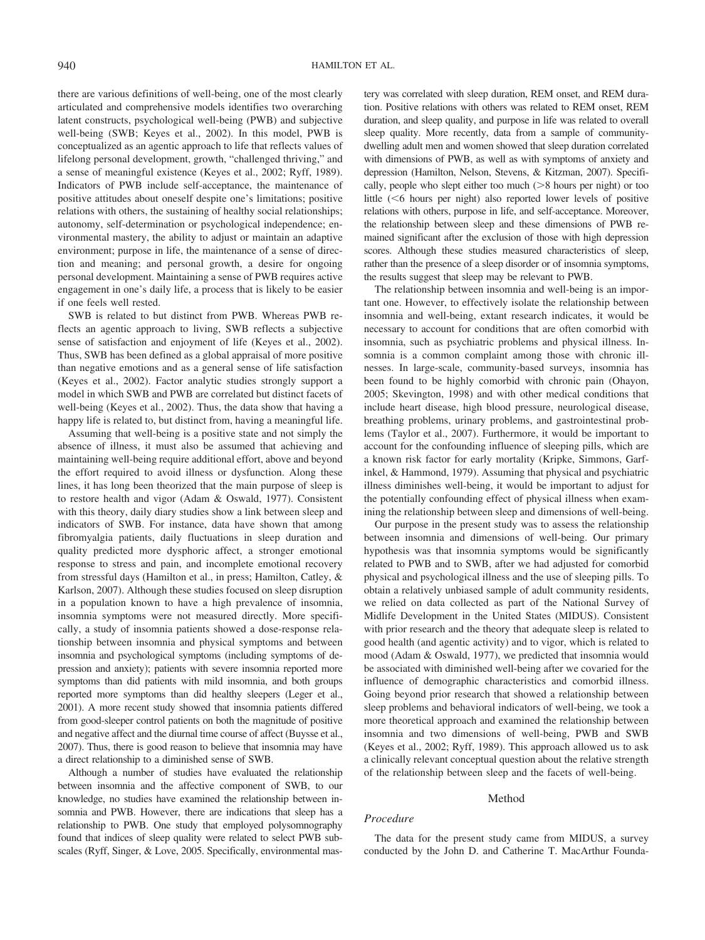there are various definitions of well-being, one of the most clearly articulated and comprehensive models identifies two overarching latent constructs, psychological well-being (PWB) and subjective well-being (SWB; Keyes et al., 2002). In this model, PWB is conceptualized as an agentic approach to life that reflects values of lifelong personal development, growth, "challenged thriving," and a sense of meaningful existence (Keyes et al., 2002; Ryff, 1989). Indicators of PWB include self-acceptance, the maintenance of positive attitudes about oneself despite one's limitations; positive relations with others, the sustaining of healthy social relationships; autonomy, self-determination or psychological independence; environmental mastery, the ability to adjust or maintain an adaptive environment; purpose in life, the maintenance of a sense of direction and meaning; and personal growth, a desire for ongoing personal development. Maintaining a sense of PWB requires active engagement in one's daily life, a process that is likely to be easier if one feels well rested.

SWB is related to but distinct from PWB. Whereas PWB reflects an agentic approach to living, SWB reflects a subjective sense of satisfaction and enjoyment of life (Keyes et al., 2002). Thus, SWB has been defined as a global appraisal of more positive than negative emotions and as a general sense of life satisfaction (Keyes et al., 2002). Factor analytic studies strongly support a model in which SWB and PWB are correlated but distinct facets of well-being (Keyes et al., 2002). Thus, the data show that having a happy life is related to, but distinct from, having a meaningful life.

Assuming that well-being is a positive state and not simply the absence of illness, it must also be assumed that achieving and maintaining well-being require additional effort, above and beyond the effort required to avoid illness or dysfunction. Along these lines, it has long been theorized that the main purpose of sleep is to restore health and vigor (Adam & Oswald, 1977). Consistent with this theory, daily diary studies show a link between sleep and indicators of SWB. For instance, data have shown that among fibromyalgia patients, daily fluctuations in sleep duration and quality predicted more dysphoric affect, a stronger emotional response to stress and pain, and incomplete emotional recovery from stressful days (Hamilton et al., in press; Hamilton, Catley, & Karlson, 2007). Although these studies focused on sleep disruption in a population known to have a high prevalence of insomnia, insomnia symptoms were not measured directly. More specifically, a study of insomnia patients showed a dose-response relationship between insomnia and physical symptoms and between insomnia and psychological symptoms (including symptoms of depression and anxiety); patients with severe insomnia reported more symptoms than did patients with mild insomnia, and both groups reported more symptoms than did healthy sleepers (Leger et al., 2001). A more recent study showed that insomnia patients differed from good-sleeper control patients on both the magnitude of positive and negative affect and the diurnal time course of affect (Buysse et al., 2007). Thus, there is good reason to believe that insomnia may have a direct relationship to a diminished sense of SWB.

Although a number of studies have evaluated the relationship between insomnia and the affective component of SWB, to our knowledge, no studies have examined the relationship between insomnia and PWB. However, there are indications that sleep has a relationship to PWB. One study that employed polysomnography found that indices of sleep quality were related to select PWB subscales (Ryff, Singer, & Love, 2005. Specifically, environmental mastery was correlated with sleep duration, REM onset, and REM duration. Positive relations with others was related to REM onset, REM duration, and sleep quality, and purpose in life was related to overall sleep quality. More recently, data from a sample of communitydwelling adult men and women showed that sleep duration correlated with dimensions of PWB, as well as with symptoms of anxiety and depression (Hamilton, Nelson, Stevens, & Kitzman, 2007). Specifically, people who slept either too much  $(8 \times 8)$  hours per night) or too little  $(< 6$  hours per night) also reported lower levels of positive relations with others, purpose in life, and self-acceptance. Moreover, the relationship between sleep and these dimensions of PWB remained significant after the exclusion of those with high depression scores. Although these studies measured characteristics of sleep, rather than the presence of a sleep disorder or of insomnia symptoms, the results suggest that sleep may be relevant to PWB.

The relationship between insomnia and well-being is an important one. However, to effectively isolate the relationship between insomnia and well-being, extant research indicates, it would be necessary to account for conditions that are often comorbid with insomnia, such as psychiatric problems and physical illness. Insomnia is a common complaint among those with chronic illnesses. In large-scale, community-based surveys, insomnia has been found to be highly comorbid with chronic pain (Ohayon, 2005; Skevington, 1998) and with other medical conditions that include heart disease, high blood pressure, neurological disease, breathing problems, urinary problems, and gastrointestinal problems (Taylor et al., 2007). Furthermore, it would be important to account for the confounding influence of sleeping pills, which are a known risk factor for early mortality (Kripke, Simmons, Garfinkel, & Hammond, 1979). Assuming that physical and psychiatric illness diminishes well-being, it would be important to adjust for the potentially confounding effect of physical illness when examining the relationship between sleep and dimensions of well-being.

Our purpose in the present study was to assess the relationship between insomnia and dimensions of well-being. Our primary hypothesis was that insomnia symptoms would be significantly related to PWB and to SWB, after we had adjusted for comorbid physical and psychological illness and the use of sleeping pills. To obtain a relatively unbiased sample of adult community residents, we relied on data collected as part of the National Survey of Midlife Development in the United States (MIDUS). Consistent with prior research and the theory that adequate sleep is related to good health (and agentic activity) and to vigor, which is related to mood (Adam & Oswald, 1977), we predicted that insomnia would be associated with diminished well-being after we covaried for the influence of demographic characteristics and comorbid illness. Going beyond prior research that showed a relationship between sleep problems and behavioral indicators of well-being, we took a more theoretical approach and examined the relationship between insomnia and two dimensions of well-being, PWB and SWB (Keyes et al., 2002; Ryff, 1989). This approach allowed us to ask a clinically relevant conceptual question about the relative strength of the relationship between sleep and the facets of well-being.

#### Method

# *Procedure*

The data for the present study came from MIDUS, a survey conducted by the John D. and Catherine T. MacArthur Founda-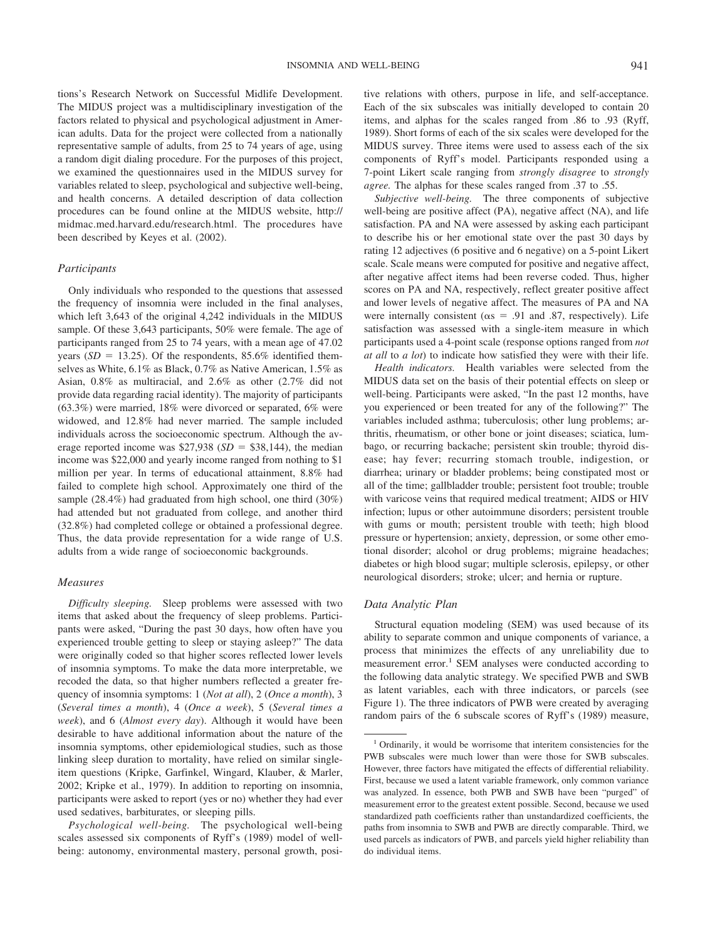tions's Research Network on Successful Midlife Development. The MIDUS project was a multidisciplinary investigation of the factors related to physical and psychological adjustment in American adults. Data for the project were collected from a nationally representative sample of adults, from 25 to 74 years of age, using a random digit dialing procedure. For the purposes of this project, we examined the questionnaires used in the MIDUS survey for variables related to sleep, psychological and subjective well-being, and health concerns. A detailed description of data collection procedures can be found online at the MIDUS website, http:// midmac.med.harvard.edu/research.html. The procedures have been described by Keyes et al. (2002).

# *Participants*

Only individuals who responded to the questions that assessed the frequency of insomnia were included in the final analyses, which left 3,643 of the original 4,242 individuals in the MIDUS sample. Of these 3,643 participants, 50% were female. The age of participants ranged from 25 to 74 years, with a mean age of 47.02 years  $(SD = 13.25)$ . Of the respondents, 85.6% identified themselves as White, 6.1% as Black, 0.7% as Native American, 1.5% as Asian, 0.8% as multiracial, and 2.6% as other (2.7% did not provide data regarding racial identity). The majority of participants (63.3%) were married, 18% were divorced or separated, 6% were widowed, and 12.8% had never married. The sample included individuals across the socioeconomic spectrum. Although the average reported income was  $$27,938$  (*SD* = \$38,144), the median income was \$22,000 and yearly income ranged from nothing to \$1 million per year. In terms of educational attainment, 8.8% had failed to complete high school. Approximately one third of the sample (28.4%) had graduated from high school, one third (30%) had attended but not graduated from college, and another third (32.8%) had completed college or obtained a professional degree. Thus, the data provide representation for a wide range of U.S. adults from a wide range of socioeconomic backgrounds.

# *Measures*

*Difficulty sleeping.* Sleep problems were assessed with two items that asked about the frequency of sleep problems. Participants were asked, "During the past 30 days, how often have you experienced trouble getting to sleep or staying asleep?" The data were originally coded so that higher scores reflected lower levels of insomnia symptoms. To make the data more interpretable, we recoded the data, so that higher numbers reflected a greater frequency of insomnia symptoms: 1 (*Not at all*), 2 (*Once a month*), 3 (*Several times a month*), 4 (*Once a week*), 5 (*Several times a week*), and 6 (*Almost every day*). Although it would have been desirable to have additional information about the nature of the insomnia symptoms, other epidemiological studies, such as those linking sleep duration to mortality, have relied on similar singleitem questions (Kripke, Garfinkel, Wingard, Klauber, & Marler, 2002; Kripke et al., 1979). In addition to reporting on insomnia, participants were asked to report (yes or no) whether they had ever used sedatives, barbiturates, or sleeping pills.

*Psychological well-being.* The psychological well-being scales assessed six components of Ryff's (1989) model of wellbeing: autonomy, environmental mastery, personal growth, positive relations with others, purpose in life, and self-acceptance. Each of the six subscales was initially developed to contain 20 items, and alphas for the scales ranged from .86 to .93 (Ryff, 1989). Short forms of each of the six scales were developed for the MIDUS survey. Three items were used to assess each of the six components of Ryff's model. Participants responded using a 7-point Likert scale ranging from *strongly disagree* to *strongly agree.* The alphas for these scales ranged from .37 to .55.

*Subjective well-being.* The three components of subjective well-being are positive affect (PA), negative affect (NA), and life satisfaction. PA and NA were assessed by asking each participant to describe his or her emotional state over the past 30 days by rating 12 adjectives (6 positive and 6 negative) on a 5-point Likert scale. Scale means were computed for positive and negative affect, after negative affect items had been reverse coded. Thus, higher scores on PA and NA, respectively, reflect greater positive affect and lower levels of negative affect. The measures of PA and NA were internally consistent ( $\alpha s = .91$  and .87, respectively). Life satisfaction was assessed with a single-item measure in which participants used a 4-point scale (response options ranged from *not at all* to *a lot*) to indicate how satisfied they were with their life.

*Health indicators.* Health variables were selected from the MIDUS data set on the basis of their potential effects on sleep or well-being. Participants were asked, "In the past 12 months, have you experienced or been treated for any of the following?" The variables included asthma; tuberculosis; other lung problems; arthritis, rheumatism, or other bone or joint diseases; sciatica, lumbago, or recurring backache; persistent skin trouble; thyroid disease; hay fever; recurring stomach trouble, indigestion, or diarrhea; urinary or bladder problems; being constipated most or all of the time; gallbladder trouble; persistent foot trouble; trouble with varicose veins that required medical treatment; AIDS or HIV infection; lupus or other autoimmune disorders; persistent trouble with gums or mouth; persistent trouble with teeth; high blood pressure or hypertension; anxiety, depression, or some other emotional disorder; alcohol or drug problems; migraine headaches; diabetes or high blood sugar; multiple sclerosis, epilepsy, or other neurological disorders; stroke; ulcer; and hernia or rupture.

#### *Data Analytic Plan*

Structural equation modeling (SEM) was used because of its ability to separate common and unique components of variance, a process that minimizes the effects of any unreliability due to measurement error.<sup>1</sup> SEM analyses were conducted according to the following data analytic strategy. We specified PWB and SWB as latent variables, each with three indicators, or parcels (see Figure 1). The three indicators of PWB were created by averaging random pairs of the 6 subscale scores of Ryff's (1989) measure,

<sup>&</sup>lt;sup>1</sup> Ordinarily, it would be worrisome that interitem consistencies for the PWB subscales were much lower than were those for SWB subscales. However, three factors have mitigated the effects of differential reliability. First, because we used a latent variable framework, only common variance was analyzed. In essence, both PWB and SWB have been "purged" of measurement error to the greatest extent possible. Second, because we used standardized path coefficients rather than unstandardized coefficients, the paths from insomnia to SWB and PWB are directly comparable. Third, we used parcels as indicators of PWB, and parcels yield higher reliability than do individual items.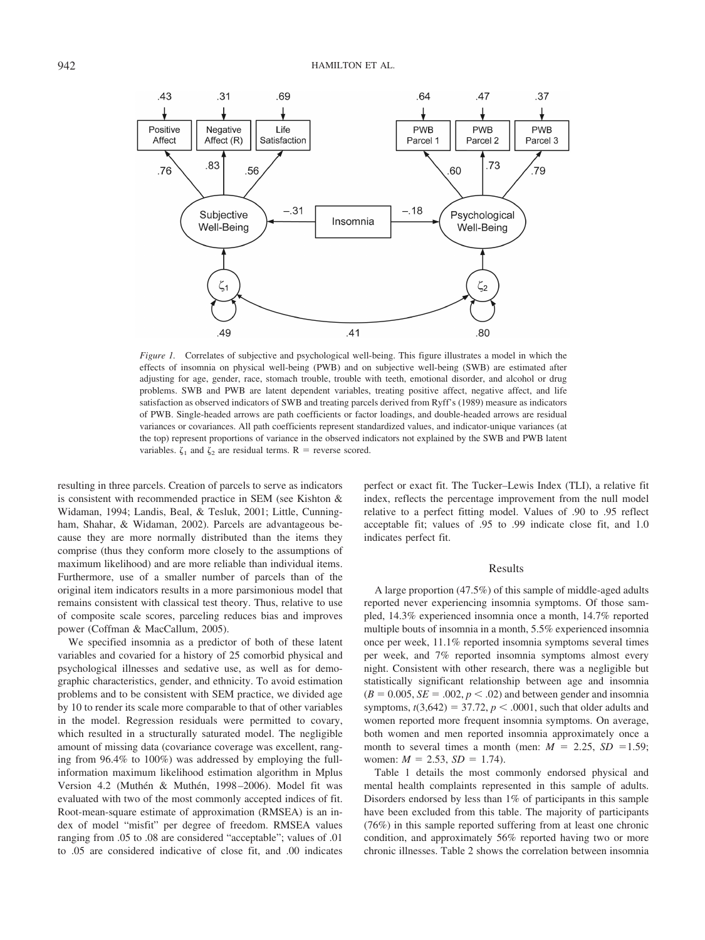

*Figure 1.* Correlates of subjective and psychological well-being. This figure illustrates a model in which the effects of insomnia on physical well-being (PWB) and on subjective well-being (SWB) are estimated after adjusting for age, gender, race, stomach trouble, trouble with teeth, emotional disorder, and alcohol or drug problems. SWB and PWB are latent dependent variables, treating positive affect, negative affect, and life satisfaction as observed indicators of SWB and treating parcels derived from Ryff's (1989) measure as indicators of PWB. Single-headed arrows are path coefficients or factor loadings, and double-headed arrows are residual variances or covariances. All path coefficients represent standardized values, and indicator-unique variances (at the top) represent proportions of variance in the observed indicators not explained by the SWB and PWB latent variables.  $\zeta_1$  and  $\zeta_2$  are residual terms. R = reverse scored.

resulting in three parcels. Creation of parcels to serve as indicators is consistent with recommended practice in SEM (see Kishton & Widaman, 1994; Landis, Beal, & Tesluk, 2001; Little, Cunningham, Shahar, & Widaman, 2002). Parcels are advantageous because they are more normally distributed than the items they comprise (thus they conform more closely to the assumptions of maximum likelihood) and are more reliable than individual items. Furthermore, use of a smaller number of parcels than of the original item indicators results in a more parsimonious model that remains consistent with classical test theory. Thus, relative to use of composite scale scores, parceling reduces bias and improves power (Coffman & MacCallum, 2005).

We specified insomnia as a predictor of both of these latent variables and covaried for a history of 25 comorbid physical and psychological illnesses and sedative use, as well as for demographic characteristics, gender, and ethnicity. To avoid estimation problems and to be consistent with SEM practice, we divided age by 10 to render its scale more comparable to that of other variables in the model. Regression residuals were permitted to covary, which resulted in a structurally saturated model. The negligible amount of missing data (covariance coverage was excellent, ranging from 96.4% to 100%) was addressed by employing the fullinformation maximum likelihood estimation algorithm in Mplus Version 4.2 (Muthén & Muthén, 1998-2006). Model fit was evaluated with two of the most commonly accepted indices of fit. Root-mean-square estimate of approximation (RMSEA) is an index of model "misfit" per degree of freedom. RMSEA values ranging from .05 to .08 are considered "acceptable"; values of .01 to .05 are considered indicative of close fit, and .00 indicates perfect or exact fit. The Tucker–Lewis Index (TLI), a relative fit index, reflects the percentage improvement from the null model relative to a perfect fitting model. Values of .90 to .95 reflect acceptable fit; values of .95 to .99 indicate close fit, and 1.0 indicates perfect fit.

## Results

A large proportion (47.5%) of this sample of middle-aged adults reported never experiencing insomnia symptoms. Of those sampled, 14.3% experienced insomnia once a month, 14.7% reported multiple bouts of insomnia in a month, 5.5% experienced insomnia once per week, 11.1% reported insomnia symptoms several times per week, and 7% reported insomnia symptoms almost every night. Consistent with other research, there was a negligible but statistically significant relationship between age and insomnia  $(B = 0.005, SE = .002, p < .02)$  and between gender and insomnia symptoms,  $t(3,642) = 37.72$ ,  $p < .0001$ , such that older adults and women reported more frequent insomnia symptoms. On average, both women and men reported insomnia approximately once a month to several times a month (men:  $M = 2.25$ ,  $SD = 1.59$ ; women:  $M = 2.53$ ,  $SD = 1.74$ ).

Table 1 details the most commonly endorsed physical and mental health complaints represented in this sample of adults. Disorders endorsed by less than 1% of participants in this sample have been excluded from this table. The majority of participants (76%) in this sample reported suffering from at least one chronic condition, and approximately 56% reported having two or more chronic illnesses. Table 2 shows the correlation between insomnia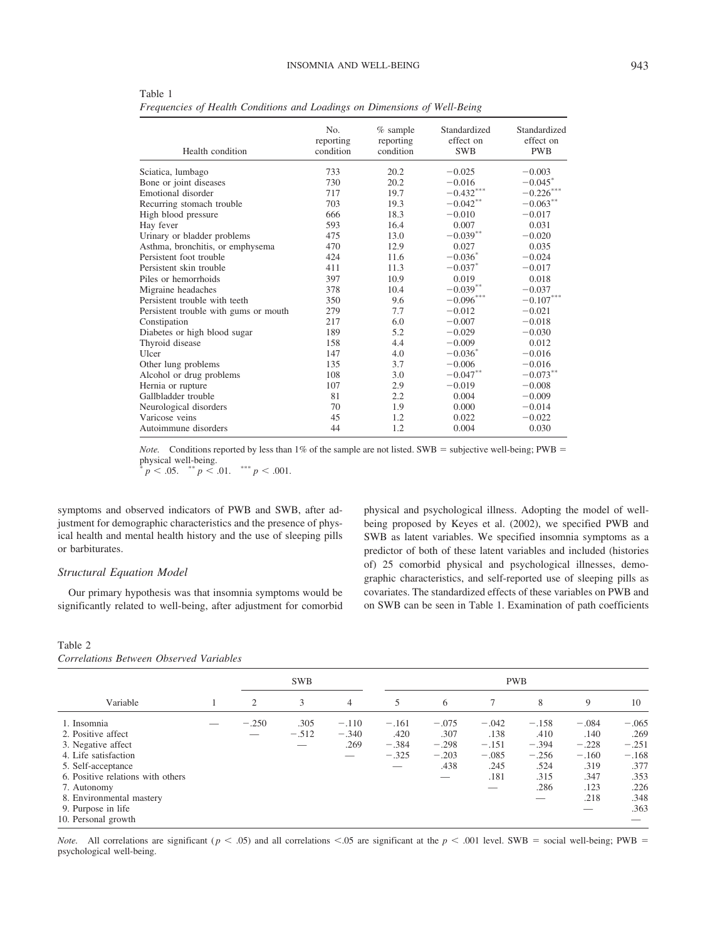| Health condition                      | No.<br>reporting<br>condition | $%$ sample<br>reporting<br>condition | Standardized<br>effect on<br><b>SWB</b> | Standardized<br>effect on<br><b>PWB</b> |  |  |
|---------------------------------------|-------------------------------|--------------------------------------|-----------------------------------------|-----------------------------------------|--|--|
| Sciatica, lumbago                     | 733                           | 20.2                                 | $-0.025$                                | $-0.003$                                |  |  |
| Bone or joint diseases                | 730                           | 20.2                                 | $-0.016$                                | $-0.045$ <sup>*</sup>                   |  |  |
| Emotional disorder                    | 717                           | 19.7                                 | $-0.432***$                             | $-0.226$ ***                            |  |  |
| Recurring stomach trouble             | 703                           | 19.3                                 | $-0.042$ **                             | $-0.063***$                             |  |  |
| High blood pressure                   | 666                           | 18.3                                 | $-0.010$                                | $-0.017$                                |  |  |
| Hay fever                             | 593                           | 16.4                                 | 0.007                                   | 0.031                                   |  |  |
| Urinary or bladder problems           | 475                           | 13.0                                 | $-0.039***$                             | $-0.020$                                |  |  |
| Asthma, bronchitis, or emphysema      | 470                           | 12.9                                 | 0.027                                   | 0.035                                   |  |  |
| Persistent foot trouble               | 424                           | 11.6                                 | $-0.036*$                               | $-0.024$                                |  |  |
| Persistent skin trouble               | 411                           | 11.3                                 | $-0.037$ *                              | $-0.017$                                |  |  |
| Piles or hemorrhoids                  | 397                           | 10.9                                 | 0.019                                   | 0.018                                   |  |  |
| Migraine headaches                    | 378                           | 10.4                                 | $-0.039***$                             | $-0.037$                                |  |  |
| Persistent trouble with teeth         | 350                           | 9.6                                  | $-0.096***$                             | $-0.107***$                             |  |  |
| Persistent trouble with gums or mouth | 279                           | 7.7                                  | $-0.012$                                | $-0.021$                                |  |  |
| Constipation                          | 217                           | 6.0                                  | $-0.007$                                | $-0.018$                                |  |  |
| Diabetes or high blood sugar          | 189                           | 5.2                                  | $-0.029$                                | $-0.030$                                |  |  |
| Thyroid disease                       | 158                           | 4.4                                  | $-0.009$                                | 0.012                                   |  |  |
| Ulcer                                 | 147                           | 4.0                                  | $-0.036*$                               | $-0.016$                                |  |  |
| Other lung problems                   | 135                           | 3.7                                  | $-0.006$                                | $-0.016$                                |  |  |
| Alcohol or drug problems              | 108                           | 3.0                                  | $-0.047**$                              | $-0.073***$                             |  |  |
| Hernia or rupture                     | 107                           | 2.9                                  | $-0.019$                                | $-0.008$                                |  |  |
| Gallbladder trouble                   | 81                            | 2.2                                  | 0.004                                   | $-0.009$                                |  |  |
| Neurological disorders                | 70                            | 1.9                                  | 0.000                                   | $-0.014$                                |  |  |
| Varicose veins                        | 45                            | 1.2                                  | 0.022                                   | $-0.022$                                |  |  |
| Autoimmune disorders                  | 44                            | 1.2                                  | 0.004                                   | 0.030                                   |  |  |
|                                       |                               |                                      |                                         |                                         |  |  |

Table 1 *Frequencies of Health Conditions and Loadings on Dimensions of Well-Being*

*Note.* Conditions reported by less than 1% of the sample are not listed. SWB = subjective well-being; PWB = physical well-being.  $p^* = 0.05$ . \*\*  $p < 0.01$ . \*\*\*  $p < 0.001$ .

symptoms and observed indicators of PWB and SWB, after adjustment for demographic characteristics and the presence of physical health and mental health history and the use of sleeping pills or barbiturates.

#### *Structural Equation Model*

Our primary hypothesis was that insomnia symptoms would be significantly related to well-being, after adjustment for comorbid

## Table 2 *Correlations Between Observed Variables*

|                                                                              | <b>SWB</b> |                 | <b>PWB</b>                 |                            |                            |                            |                            |                            |                            |
|------------------------------------------------------------------------------|------------|-----------------|----------------------------|----------------------------|----------------------------|----------------------------|----------------------------|----------------------------|----------------------------|
| Variable                                                                     | 2          | 3               | 4                          | 5                          | 6                          |                            | 8                          | 9                          | 10                         |
| 1. Insomnia<br>2. Positive affect                                            | $-.250$    | .305<br>$-.512$ | $-.110$<br>$-.340$<br>.269 | $-.161$<br>.420<br>$-.384$ | $-.075$<br>.307<br>$-.298$ | $-.042$<br>.138<br>$-.151$ | $-.158$<br>.410<br>$-.394$ | $-.084$<br>.140<br>$-.228$ | $-.065$<br>.269<br>$-.251$ |
| 3. Negative affect<br>4. Life satisfaction<br>5. Self-acceptance             |            |                 |                            | $-.325$                    | $-.203$<br>.438            | $-.085$<br>.245            | $-.256$<br>.524            | $-.160$<br>.319            | $-.168$<br>.377            |
| 6. Positive relations with others<br>7. Autonomy<br>8. Environmental mastery |            |                 |                            |                            |                            | .181                       | .315<br>.286<br>__         | .347<br>.123<br>.218       | .353<br>.226<br>.348       |
| 9. Purpose in life<br>10. Personal growth                                    |            |                 |                            |                            |                            |                            |                            | $-$                        | .363                       |

*Note.* All correlations are significant ( $p < .05$ ) and all correlations  $< .05$  are significant at the  $p < .001$  level. SWB = social well-being; PWB = psychological well-being.

physical and psychological illness. Adopting the model of wellbeing proposed by Keyes et al. (2002), we specified PWB and SWB as latent variables. We specified insomnia symptoms as a predictor of both of these latent variables and included (histories of) 25 comorbid physical and psychological illnesses, demographic characteristics, and self-reported use of sleeping pills as covariates. The standardized effects of these variables on PWB and on SWB can be seen in Table 1. Examination of path coefficients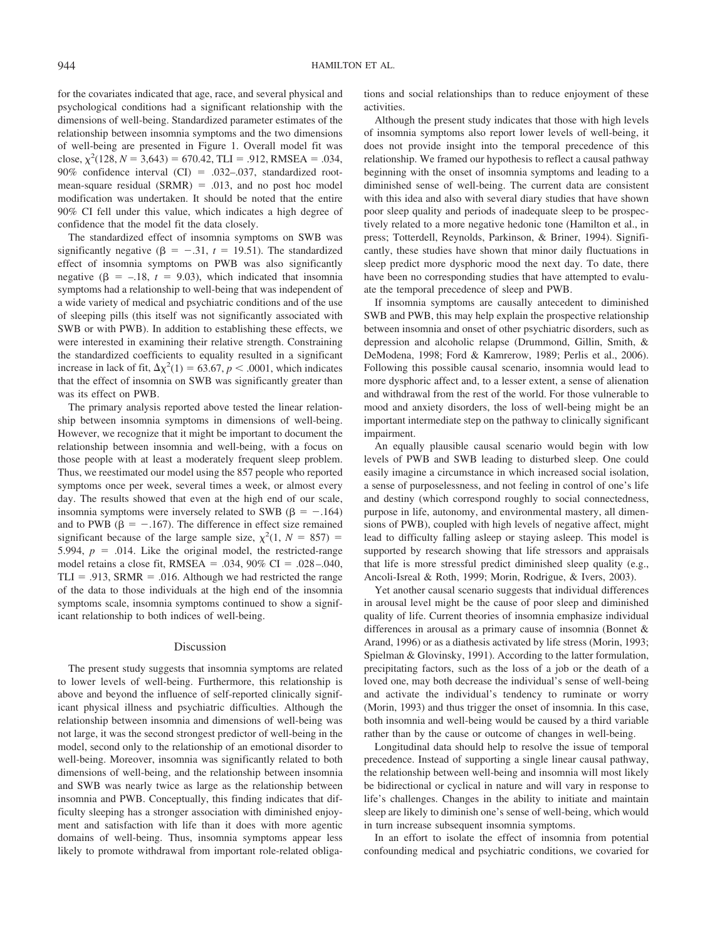for the covariates indicated that age, race, and several physical and psychological conditions had a significant relationship with the dimensions of well-being. Standardized parameter estimates of the relationship between insomnia symptoms and the two dimensions of well-being are presented in Figure 1. Overall model fit was close,  $\chi^2(128, N = 3,643) = 670.42$ , TLI = .912, RMSEA = .034, 90% confidence interval (CI) = .032–.037, standardized rootmean-square residual (SRMR)  $= .013$ , and no post hoc model modification was undertaken. It should be noted that the entire 90% CI fell under this value, which indicates a high degree of confidence that the model fit the data closely.

The standardized effect of insomnia symptoms on SWB was significantly negative ( $\beta = -.31$ ,  $t = 19.51$ ). The standardized effect of insomnia symptoms on PWB was also significantly negative ( $\beta$  = -.18,  $t$  = 9.03), which indicated that insomnia symptoms had a relationship to well-being that was independent of a wide variety of medical and psychiatric conditions and of the use of sleeping pills (this itself was not significantly associated with SWB or with PWB). In addition to establishing these effects, we were interested in examining their relative strength. Constraining the standardized coefficients to equality resulted in a significant increase in lack of fit,  $\Delta \chi^2(1) = 63.67$ ,  $p < .0001$ , which indicates that the effect of insomnia on SWB was significantly greater than was its effect on PWB.

The primary analysis reported above tested the linear relationship between insomnia symptoms in dimensions of well-being. However, we recognize that it might be important to document the relationship between insomnia and well-being, with a focus on those people with at least a moderately frequent sleep problem. Thus, we reestimated our model using the 857 people who reported symptoms once per week, several times a week, or almost every day. The results showed that even at the high end of our scale, insomnia symptoms were inversely related to SWB ( $\beta = -.164$ ) and to PWB ( $\beta = -.167$ ). The difference in effect size remained significant because of the large sample size,  $\chi^2(1, N = 857)$  = 5.994,  $p = .014$ . Like the original model, the restricted-range model retains a close fit, RMSEA = .034,  $90\%$  CI = .028 -.040,  $TLI = .913$ , SRMR = .016. Although we had restricted the range of the data to those individuals at the high end of the insomnia symptoms scale, insomnia symptoms continued to show a significant relationship to both indices of well-being.

#### Discussion

The present study suggests that insomnia symptoms are related to lower levels of well-being. Furthermore, this relationship is above and beyond the influence of self-reported clinically significant physical illness and psychiatric difficulties. Although the relationship between insomnia and dimensions of well-being was not large, it was the second strongest predictor of well-being in the model, second only to the relationship of an emotional disorder to well-being. Moreover, insomnia was significantly related to both dimensions of well-being, and the relationship between insomnia and SWB was nearly twice as large as the relationship between insomnia and PWB. Conceptually, this finding indicates that difficulty sleeping has a stronger association with diminished enjoyment and satisfaction with life than it does with more agentic domains of well-being. Thus, insomnia symptoms appear less likely to promote withdrawal from important role-related obligations and social relationships than to reduce enjoyment of these activities.

Although the present study indicates that those with high levels of insomnia symptoms also report lower levels of well-being, it does not provide insight into the temporal precedence of this relationship. We framed our hypothesis to reflect a causal pathway beginning with the onset of insomnia symptoms and leading to a diminished sense of well-being. The current data are consistent with this idea and also with several diary studies that have shown poor sleep quality and periods of inadequate sleep to be prospectively related to a more negative hedonic tone (Hamilton et al., in press; Totterdell, Reynolds, Parkinson, & Briner, 1994). Significantly, these studies have shown that minor daily fluctuations in sleep predict more dysphoric mood the next day. To date, there have been no corresponding studies that have attempted to evaluate the temporal precedence of sleep and PWB.

If insomnia symptoms are causally antecedent to diminished SWB and PWB, this may help explain the prospective relationship between insomnia and onset of other psychiatric disorders, such as depression and alcoholic relapse (Drummond, Gillin, Smith, & DeModena, 1998; Ford & Kamrerow, 1989; Perlis et al., 2006). Following this possible causal scenario, insomnia would lead to more dysphoric affect and, to a lesser extent, a sense of alienation and withdrawal from the rest of the world. For those vulnerable to mood and anxiety disorders, the loss of well-being might be an important intermediate step on the pathway to clinically significant impairment.

An equally plausible causal scenario would begin with low levels of PWB and SWB leading to disturbed sleep. One could easily imagine a circumstance in which increased social isolation, a sense of purposelessness, and not feeling in control of one's life and destiny (which correspond roughly to social connectedness, purpose in life, autonomy, and environmental mastery, all dimensions of PWB), coupled with high levels of negative affect, might lead to difficulty falling asleep or staying asleep. This model is supported by research showing that life stressors and appraisals that life is more stressful predict diminished sleep quality (e.g., Ancoli-Isreal & Roth, 1999; Morin, Rodrigue, & Ivers, 2003).

Yet another causal scenario suggests that individual differences in arousal level might be the cause of poor sleep and diminished quality of life. Current theories of insomnia emphasize individual differences in arousal as a primary cause of insomnia (Bonnet & Arand, 1996) or as a diathesis activated by life stress (Morin, 1993; Spielman & Glovinsky, 1991). According to the latter formulation, precipitating factors, such as the loss of a job or the death of a loved one, may both decrease the individual's sense of well-being and activate the individual's tendency to ruminate or worry (Morin, 1993) and thus trigger the onset of insomnia. In this case, both insomnia and well-being would be caused by a third variable rather than by the cause or outcome of changes in well-being.

Longitudinal data should help to resolve the issue of temporal precedence. Instead of supporting a single linear causal pathway, the relationship between well-being and insomnia will most likely be bidirectional or cyclical in nature and will vary in response to life's challenges. Changes in the ability to initiate and maintain sleep are likely to diminish one's sense of well-being, which would in turn increase subsequent insomnia symptoms.

In an effort to isolate the effect of insomnia from potential confounding medical and psychiatric conditions, we covaried for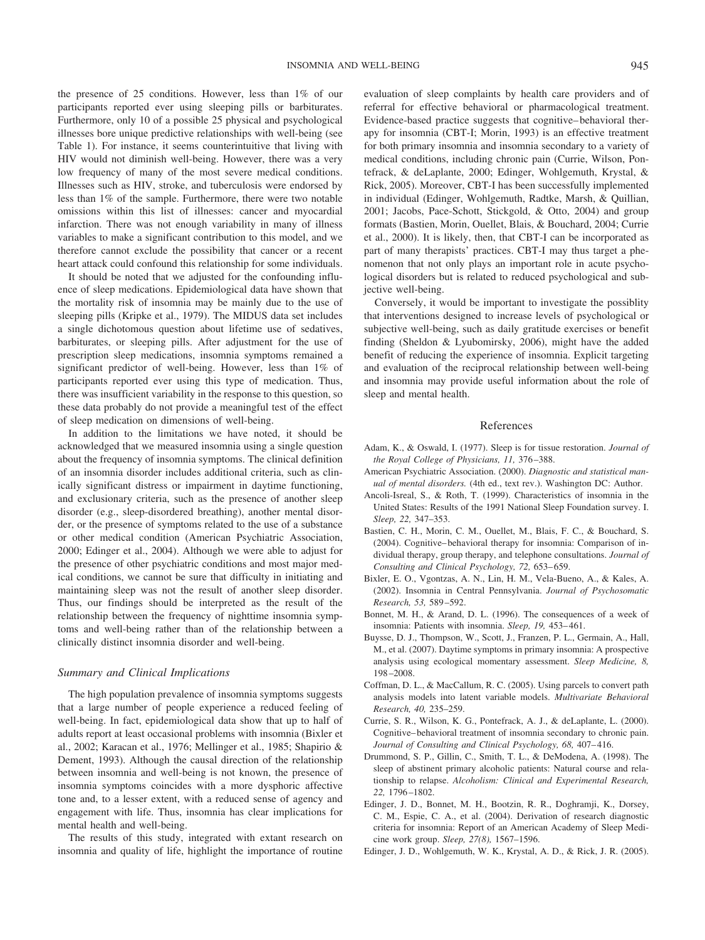the presence of 25 conditions. However, less than 1% of our participants reported ever using sleeping pills or barbiturates. Furthermore, only 10 of a possible 25 physical and psychological illnesses bore unique predictive relationships with well-being (see Table 1). For instance, it seems counterintuitive that living with HIV would not diminish well-being. However, there was a very low frequency of many of the most severe medical conditions. Illnesses such as HIV, stroke, and tuberculosis were endorsed by less than 1% of the sample. Furthermore, there were two notable omissions within this list of illnesses: cancer and myocardial infarction. There was not enough variability in many of illness variables to make a significant contribution to this model, and we therefore cannot exclude the possibility that cancer or a recent heart attack could confound this relationship for some individuals.

It should be noted that we adjusted for the confounding influence of sleep medications. Epidemiological data have shown that the mortality risk of insomnia may be mainly due to the use of sleeping pills (Kripke et al., 1979). The MIDUS data set includes a single dichotomous question about lifetime use of sedatives, barbiturates, or sleeping pills. After adjustment for the use of prescription sleep medications, insomnia symptoms remained a significant predictor of well-being. However, less than 1% of participants reported ever using this type of medication. Thus, there was insufficient variability in the response to this question, so these data probably do not provide a meaningful test of the effect of sleep medication on dimensions of well-being.

In addition to the limitations we have noted, it should be acknowledged that we measured insomnia using a single question about the frequency of insomnia symptoms. The clinical definition of an insomnia disorder includes additional criteria, such as clinically significant distress or impairment in daytime functioning, and exclusionary criteria, such as the presence of another sleep disorder (e.g., sleep-disordered breathing), another mental disorder, or the presence of symptoms related to the use of a substance or other medical condition (American Psychiatric Association, 2000; Edinger et al., 2004). Although we were able to adjust for the presence of other psychiatric conditions and most major medical conditions, we cannot be sure that difficulty in initiating and maintaining sleep was not the result of another sleep disorder. Thus, our findings should be interpreted as the result of the relationship between the frequency of nighttime insomnia symptoms and well-being rather than of the relationship between a clinically distinct insomnia disorder and well-being.

#### *Summary and Clinical Implications*

The high population prevalence of insomnia symptoms suggests that a large number of people experience a reduced feeling of well-being. In fact, epidemiological data show that up to half of adults report at least occasional problems with insomnia (Bixler et al., 2002; Karacan et al., 1976; Mellinger et al., 1985; Shapirio & Dement, 1993). Although the causal direction of the relationship between insomnia and well-being is not known, the presence of insomnia symptoms coincides with a more dysphoric affective tone and, to a lesser extent, with a reduced sense of agency and engagement with life. Thus, insomnia has clear implications for mental health and well-being.

The results of this study, integrated with extant research on insomnia and quality of life, highlight the importance of routine

evaluation of sleep complaints by health care providers and of referral for effective behavioral or pharmacological treatment. Evidence-based practice suggests that cognitive– behavioral therapy for insomnia (CBT-I; Morin, 1993) is an effective treatment for both primary insomnia and insomnia secondary to a variety of medical conditions, including chronic pain (Currie, Wilson, Pontefrack, & deLaplante, 2000; Edinger, Wohlgemuth, Krystal, & Rick, 2005). Moreover, CBT-I has been successfully implemented in individual (Edinger, Wohlgemuth, Radtke, Marsh, & Quillian, 2001; Jacobs, Pace-Schott, Stickgold, & Otto, 2004) and group formats (Bastien, Morin, Ouellet, Blais, & Bouchard, 2004; Currie et al., 2000). It is likely, then, that CBT-I can be incorporated as part of many therapists' practices. CBT-I may thus target a phenomenon that not only plays an important role in acute psychological disorders but is related to reduced psychological and subjective well-being.

Conversely, it would be important to investigate the possiblity that interventions designed to increase levels of psychological or subjective well-being, such as daily gratitude exercises or benefit finding (Sheldon & Lyubomirsky, 2006), might have the added benefit of reducing the experience of insomnia. Explicit targeting and evaluation of the reciprocal relationship between well-being and insomnia may provide useful information about the role of sleep and mental health.

#### References

- Adam, K., & Oswald, I. (1977). Sleep is for tissue restoration. *Journal of the Royal College of Physicians, 11,* 376 –388.
- American Psychiatric Association. (2000). *Diagnostic and statistical manual of mental disorders.* (4th ed., text rev.). Washington DC: Author.
- Ancoli-Isreal, S., & Roth, T. (1999). Characteristics of insomnia in the United States: Results of the 1991 National Sleep Foundation survey. I. *Sleep, 22,* 347–353.
- Bastien, C. H., Morin, C. M., Ouellet, M., Blais, F. C., & Bouchard, S. (2004). Cognitive– behavioral therapy for insomnia: Comparison of individual therapy, group therapy, and telephone consultations. *Journal of Consulting and Clinical Psychology, 72,* 653– 659.
- Bixler, E. O., Vgontzas, A. N., Lin, H. M., Vela-Bueno, A., & Kales, A. (2002). Insomnia in Central Pennsylvania. *Journal of Psychosomatic Research, 53,* 589 –592.
- Bonnet, M. H., & Arand, D. L. (1996). The consequences of a week of insomnia: Patients with insomnia. *Sleep, 19,* 453– 461.
- Buysse, D. J., Thompson, W., Scott, J., Franzen, P. L., Germain, A., Hall, M., et al. (2007). Daytime symptoms in primary insomnia: A prospective analysis using ecological momentary assessment. *Sleep Medicine, 8,* 198 –2008.
- Coffman, D. L., & MacCallum, R. C. (2005). Using parcels to convert path analysis models into latent variable models. *Multivariate Behavioral Research, 40,* 235–259.
- Currie, S. R., Wilson, K. G., Pontefrack, A. J., & deLaplante, L. (2000). Cognitive– behavioral treatment of insomnia secondary to chronic pain. Journal of Consulting and Clinical Psychology, 68, 407-416.
- Drummond, S. P., Gillin, C., Smith, T. L., & DeModena, A. (1998). The sleep of abstinent primary alcoholic patients: Natural course and relationship to relapse. *Alcoholism: Clinical and Experimental Research, 22,* 1796 –1802.
- Edinger, J. D., Bonnet, M. H., Bootzin, R. R., Doghramji, K., Dorsey, C. M., Espie, C. A., et al. (2004). Derivation of research diagnostic criteria for insomnia: Report of an American Academy of Sleep Medicine work group. *Sleep, 27(8),* 1567–1596.
- Edinger, J. D., Wohlgemuth, W. K., Krystal, A. D., & Rick, J. R. (2005).